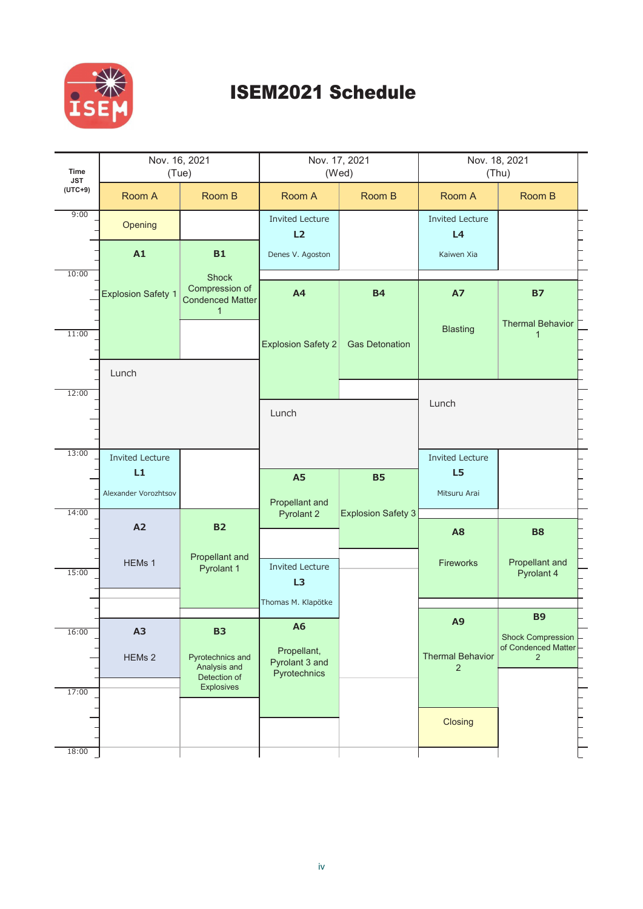

## **ISEM2021 Schedule**

| <b>Time</b><br><b>JST</b> | Nov. 16, 2021              | (Tue)                                                                     | Nov. 17, 2021                                 | (Wed)                     | Nov. 18, 2021<br>(Thu)                    |                                                              |  |
|---------------------------|----------------------------|---------------------------------------------------------------------------|-----------------------------------------------|---------------------------|-------------------------------------------|--------------------------------------------------------------|--|
| $(UTC+9)$                 | Room A                     | Room B                                                                    | Room A                                        | Room B                    | Room A                                    | Room B                                                       |  |
| 9:00                      | Opening                    |                                                                           | <b>Invited Lecture</b><br>L2                  |                           | <b>Invited Lecture</b><br>L4              |                                                              |  |
|                           | A1                         | <b>B1</b>                                                                 | Denes V. Agoston                              |                           | Kaiwen Xia                                |                                                              |  |
| 10:00                     | <b>Explosion Safety 1</b>  | <b>Shock</b><br>Compression of<br><b>Condenced Matter</b><br>$\mathbf{1}$ | A4                                            | <b>B4</b>                 | <b>A7</b>                                 | <b>B7</b>                                                    |  |
| 11:00                     |                            |                                                                           | <b>Explosion Safety 2</b>                     | <b>Gas Detonation</b>     | <b>Blasting</b>                           | <b>Thermal Behavior</b><br>1                                 |  |
| 12:00                     | Lunch                      |                                                                           |                                               |                           |                                           |                                                              |  |
|                           |                            |                                                                           | Lunch                                         |                           | Lunch                                     |                                                              |  |
| 13:00                     | <b>Invited Lecture</b>     |                                                                           |                                               |                           | <b>Invited Lecture</b>                    |                                                              |  |
|                           | L1<br>Alexander Vorozhtsov |                                                                           | <b>A5</b>                                     | <b>B5</b>                 | L5<br>Mitsuru Arai                        |                                                              |  |
| 14:00                     | A2                         | <b>B2</b>                                                                 | Propellant and<br><b>Pyrolant 2</b>           | <b>Explosion Safety 3</b> |                                           |                                                              |  |
| 15:00                     | HEMs 1                     | Propellant and<br>Pyrolant 1                                              | <b>Invited Lecture</b><br>L3                  |                           | A <sub>8</sub><br>Fireworks               | <b>B8</b><br>Propellant and<br>Pyrolant 4                    |  |
|                           |                            |                                                                           | Thomas M. Klapötke                            |                           |                                           |                                                              |  |
| 16:00                     | A3                         | <b>B3</b>                                                                 | <b>A6</b>                                     |                           | A <sub>9</sub>                            | <b>B9</b><br><b>Shock Compression</b><br>of Condenced Matter |  |
|                           | HEMs <sub>2</sub>          | Pyrotechnics and<br>Analysis and<br>Detection of                          | Propellant,<br>Pyrolant 3 and<br>Pyrotechnics |                           | <b>Thermal Behavior</b><br>$\overline{2}$ | $\overline{2}$                                               |  |
| 17:00                     |                            | Explosives                                                                |                                               |                           |                                           |                                                              |  |
|                           |                            |                                                                           |                                               |                           | Closing                                   |                                                              |  |
| 18:00                     |                            |                                                                           |                                               |                           |                                           |                                                              |  |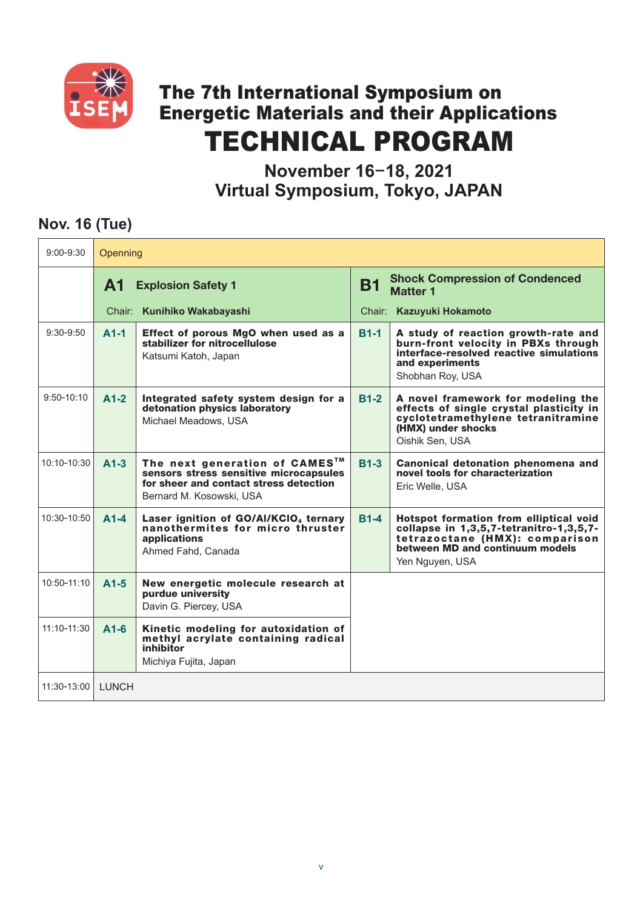

# The 7th International Symposium on Energetic Materials and their Applications TECHNICAL PROGRAM

**November 16**-**18, 2021 Virtual Symposium, Tokyo, JAPAN**

#### **Nov. 16 (Tue)**

| $9:00 - 9:30$       | Openning                               |                                                                                                                                                           |             |                                                                                                                                                                           |  |  |
|---------------------|----------------------------------------|-----------------------------------------------------------------------------------------------------------------------------------------------------------|-------------|---------------------------------------------------------------------------------------------------------------------------------------------------------------------------|--|--|
|                     | <b>A1</b><br><b>Explosion Safety 1</b> |                                                                                                                                                           | <b>B1</b>   | <b>Shock Compression of Condenced</b><br><b>Matter 1</b>                                                                                                                  |  |  |
|                     |                                        | Chair: Kunihiko Wakabayashi                                                                                                                               |             | Chair: Kazuyuki Hokamoto                                                                                                                                                  |  |  |
| $9:30 - 9:50$       | $A1-1$                                 | Effect of porous MgO when used as a<br>stabilizer for nitrocellulose<br>Katsumi Katoh, Japan                                                              | <b>B1-1</b> | A study of reaction growth-rate and<br>burn-front velocity in PBXs through<br>interface-resolved reactive simulations<br>and experiments<br>Shobhan Roy, USA              |  |  |
| $9:50 - 10:10$      | $A1-2$                                 | Integrated safety system design for a<br>detonation physics laboratory<br>Michael Meadows, USA                                                            | <b>B1-2</b> | A novel framework for modeling the<br>effects of single crystal plasticity in<br>cyclotetramethylene tetranitramine<br>(HMX) under shocks<br>Oishik Sen, USA              |  |  |
| $10:10 - 10:30$     | $A1-3$                                 | The next generation of CAMES <sup>™</sup><br>sensors stress sensitive microcapsules<br>for sheer and contact stress detection<br>Bernard M. Kosowski, USA | <b>B1-3</b> | Canonical detonation phenomena and<br>novel tools for characterization<br>Eric Welle, USA                                                                                 |  |  |
| 10:30-10:50         | $A1-4$                                 | Laser ignition of GO/Al/KCIO <sub>4</sub> ternary<br>nanothermites for micro thruster<br>applications<br>Ahmed Fahd, Canada                               | <b>B1-4</b> | Hotspot formation from elliptical void<br>collapse in 1,3,5,7-tetranitro-1,3,5,7-<br>tetrazoctane (HMX): comparison<br>between MD and continuum models<br>Yen Nguyen, USA |  |  |
| 10:50-11:10         | $A1-5$                                 | New energetic molecule research at<br>purdue university<br>Davin G. Piercey, USA                                                                          |             |                                                                                                                                                                           |  |  |
| $11:10 - 11:30$     | $A1-6$                                 | Kinetic modeling for autoxidation of<br>methyl acrylate containing radical<br>inhibitor<br>Michiya Fujita, Japan                                          |             |                                                                                                                                                                           |  |  |
| 11:30-13:00   LUNCH |                                        |                                                                                                                                                           |             |                                                                                                                                                                           |  |  |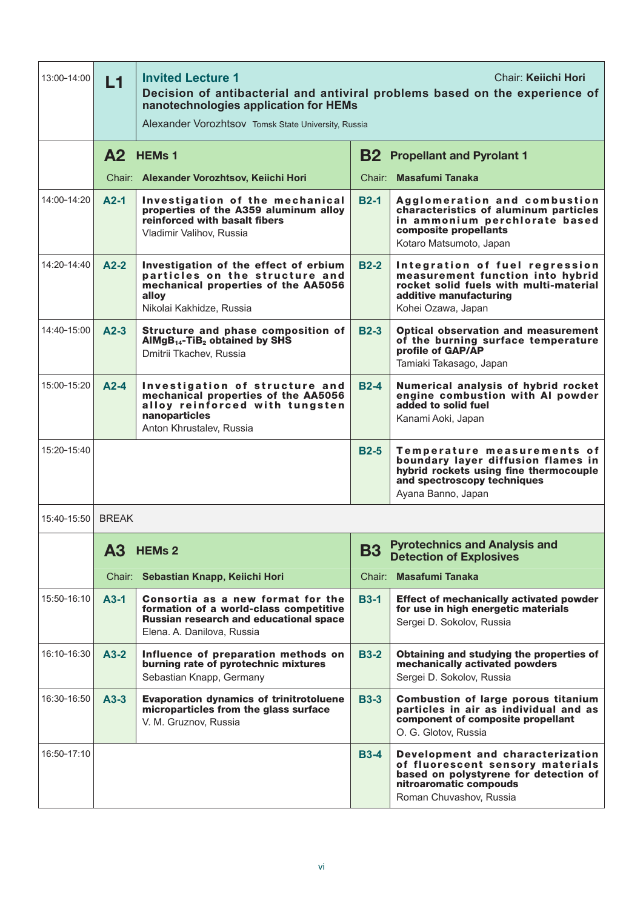| 13:00-14:00 | <b>Invited Lecture 1</b><br>Chair: Keiichi Hori<br>L1<br>Decision of antibacterial and antiviral problems based on the experience of<br>nanotechnologies application for HEMs<br>Alexander Vorozhtsov Tomsk State University, Russia |                                                                                                                                                      |                                                                                     |                                                                                                                                                                    |  |
|-------------|--------------------------------------------------------------------------------------------------------------------------------------------------------------------------------------------------------------------------------------|------------------------------------------------------------------------------------------------------------------------------------------------------|-------------------------------------------------------------------------------------|--------------------------------------------------------------------------------------------------------------------------------------------------------------------|--|
|             | A <sub>2</sub> HEM <sub>s</sub> 1                                                                                                                                                                                                    |                                                                                                                                                      | <b>B2</b> Propellant and Pyrolant 1                                                 |                                                                                                                                                                    |  |
|             | Chair: Alexander Vorozhtsov, Keiichi Hori                                                                                                                                                                                            |                                                                                                                                                      | Chair: Masafumi Tanaka                                                              |                                                                                                                                                                    |  |
| 14:00-14:20 | $A2-1$                                                                                                                                                                                                                               | Investigation of the mechanical<br>properties of the A359 aluminum alloy<br>reinforced with basalt fibers<br>Vladimir Valihov, Russia                | $B2-1$                                                                              | Agglomeration and combustion<br>characteristics of aluminum particles<br>in ammonium perchlorate based<br>composite propellants<br>Kotaro Matsumoto, Japan         |  |
| 14:20-14:40 | $A2-2$                                                                                                                                                                                                                               | Investigation of the effect of erbium<br>particles on the structure and<br>mechanical properties of the AA5056<br>alloy<br>Nikolai Kakhidze, Russia  | $B2-2$                                                                              | Integration of fuel regression<br>measurement function into hybrid<br>rocket solid fuels with multi-material<br>additive manufacturing<br>Kohei Ozawa, Japan       |  |
| 14:40-15:00 | $A2-3$                                                                                                                                                                                                                               | Structure and phase composition of<br>$AlMgB_{14}$ -TiB <sub>2</sub> obtained by SHS<br>Dmitrii Tkachev, Russia                                      | $B2-3$                                                                              | <b>Optical observation and measurement</b><br>of the burning surface temperature<br>profile of GAP/AP<br>Tamiaki Takasago, Japan                                   |  |
| 15:00-15:20 | $A2-4$                                                                                                                                                                                                                               | Investigation of structure and<br>mechanical properties of the AA5056<br>alloy reinforced with tungsten<br>nanoparticles<br>Anton Khrustalev, Russia | $B2-4$                                                                              | Numerical analysis of hybrid rocket<br>engine combustion with AI powder<br>added to solid fuel<br>Kanami Aoki, Japan                                               |  |
| 15:20-15:40 |                                                                                                                                                                                                                                      |                                                                                                                                                      | $B2-5$                                                                              | Temperature measurements of<br>boundary layer diffusion flames in<br>hybrid rockets using fine thermocouple<br>and spectroscopy techniques<br>Ayana Banno, Japan   |  |
| 15:40-15:50 | <b>BRFAK</b>                                                                                                                                                                                                                         |                                                                                                                                                      |                                                                                     |                                                                                                                                                                    |  |
|             | <b>A3</b>                                                                                                                                                                                                                            | <b>HEMs 2</b>                                                                                                                                        | <b>Pyrotechnics and Analysis and</b><br><b>B3</b><br><b>Detection of Explosives</b> |                                                                                                                                                                    |  |
|             |                                                                                                                                                                                                                                      | Chair: Sebastian Knapp, Keiichi Hori                                                                                                                 |                                                                                     | Chair: Masafumi Tanaka                                                                                                                                             |  |
| 15:50-16:10 | $A3-1$                                                                                                                                                                                                                               | Consortia as a new format for the<br>formation of a world-class competitive<br>Russian research and educational space<br>Elena. A. Danilova, Russia  | <b>B3-1</b>                                                                         | <b>Effect of mechanically activated powder</b><br>for use in high energetic materials<br>Sergei D. Sokolov, Russia                                                 |  |
| 16:10-16:30 | $A3-2$                                                                                                                                                                                                                               | Influence of preparation methods on<br>burning rate of pyrotechnic mixtures<br>Sebastian Knapp, Germany                                              | <b>B3-2</b>                                                                         | Obtaining and studying the properties of<br>mechanically activated powders<br>Sergei D. Sokolov, Russia                                                            |  |
| 16:30-16:50 | $A3-3$                                                                                                                                                                                                                               | <b>Evaporation dynamics of trinitrotoluene</b><br>microparticles from the glass surface<br>V. M. Gruznov, Russia                                     | <b>B3-3</b>                                                                         | <b>Combustion of large porous titanium</b><br>particles in air as individual and as<br>component of composite propellant<br>O. G. Glotov, Russia                   |  |
| 16:50-17:10 |                                                                                                                                                                                                                                      |                                                                                                                                                      | <b>B3-4</b>                                                                         | Development and characterization<br>of fluorescent sensory materials<br>based on polystyrene for detection of<br>nitroaromatic compouds<br>Roman Chuvashov, Russia |  |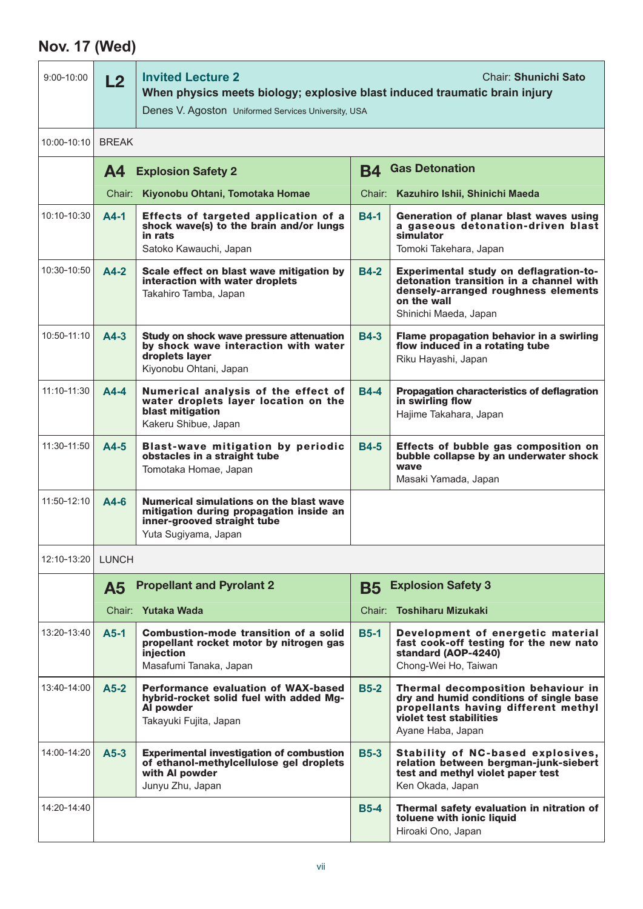## **Nov. 17 (Wed)**

| $9:00 - 10:00$  | <b>Invited Lecture 2</b><br>Chair: Shunichi Sato<br>L2<br>When physics meets biology; explosive blast induced traumatic brain injury<br>Denes V. Agoston Uniformed Services University, USA |                                                                                                                                           |             |                                                                                                                                                                      |  |  |
|-----------------|---------------------------------------------------------------------------------------------------------------------------------------------------------------------------------------------|-------------------------------------------------------------------------------------------------------------------------------------------|-------------|----------------------------------------------------------------------------------------------------------------------------------------------------------------------|--|--|
| $10:00 - 10:10$ | <b>BREAK</b>                                                                                                                                                                                |                                                                                                                                           |             |                                                                                                                                                                      |  |  |
|                 | <b>A4</b><br><b>Explosion Safety 2</b>                                                                                                                                                      |                                                                                                                                           | B4          | <b>Gas Detonation</b>                                                                                                                                                |  |  |
|                 |                                                                                                                                                                                             | Chair: Kiyonobu Ohtani, Tomotaka Homae                                                                                                    |             | Chair: Kazuhiro Ishii, Shinichi Maeda                                                                                                                                |  |  |
| 10:10-10:30     | $A4-1$                                                                                                                                                                                      | Effects of targeted application of a<br>shock wave(s) to the brain and/or lungs<br>in rats<br>Satoko Kawauchi, Japan                      | <b>B4-1</b> | Generation of planar blast waves using<br>a gaseous detonation-driven blast<br>simulator<br>Tomoki Takehara, Japan                                                   |  |  |
| 10:30-10:50     | $A4-2$                                                                                                                                                                                      | Scale effect on blast wave mitigation by<br>interaction with water droplets<br>Takahiro Tamba, Japan                                      | <b>B4-2</b> | Experimental study on deflagration-to-<br>detonation transition in a channel with<br>densely-arranged roughness elements<br>on the wall<br>Shinichi Maeda, Japan     |  |  |
| 10:50-11:10     | $A4-3$                                                                                                                                                                                      | Study on shock wave pressure attenuation<br>by shock wave interaction with water<br>droplets layer<br>Kiyonobu Ohtani, Japan              | <b>B4-3</b> | Flame propagation behavior in a swirling<br>flow induced in a rotating tube<br>Riku Hayashi, Japan                                                                   |  |  |
| 11:10-11:30     | $A4-4$                                                                                                                                                                                      | Numerical analysis of the effect of<br>water droplets layer location on the<br>blast mitigation<br>Kakeru Shibue, Japan                   | <b>B4-4</b> | Propagation characteristics of deflagration<br>in swirling flow<br>Hajime Takahara, Japan                                                                            |  |  |
| 11:30-11:50     | $A4-5$                                                                                                                                                                                      | <b>Blast-wave mitigation by periodic</b><br>obstacles in a straight tube<br>Tomotaka Homae, Japan                                         | <b>B4-5</b> | Effects of bubble gas composition on<br>bubble collapse by an underwater shock<br>wave<br>Masaki Yamada, Japan                                                       |  |  |
| 11:50-12:10     | $A4-6$                                                                                                                                                                                      | Numerical simulations on the blast wave<br>mitigation during propagation inside an<br>inner-grooved straight tube<br>Yuta Sugiyama, Japan |             |                                                                                                                                                                      |  |  |
| 12:10-13:20     | <b>LUNCH</b>                                                                                                                                                                                |                                                                                                                                           |             |                                                                                                                                                                      |  |  |
|                 | <b>A5</b>                                                                                                                                                                                   | <b>Propellant and Pyrolant 2</b>                                                                                                          | B5          | <b>Explosion Safety 3</b>                                                                                                                                            |  |  |
|                 |                                                                                                                                                                                             | Chair: Yutaka Wada                                                                                                                        |             | Chair: Toshiharu Mizukaki                                                                                                                                            |  |  |
| 13:20-13:40     | $A5-1$                                                                                                                                                                                      | <b>Combustion-mode transition of a solid</b><br>propellant rocket motor by nitrogen gas<br>injection<br>Masafumi Tanaka, Japan            | <b>B5-1</b> | Development of energetic material<br>fast cook-off testing for the new nato<br>standard (AOP-4240)<br>Chong-Wei Ho, Taiwan                                           |  |  |
| 13:40-14:00     | $A5-2$                                                                                                                                                                                      | <b>Performance evaluation of WAX-based</b><br>hybrid-rocket solid fuel with added Mg-<br>Al powder<br>Takayuki Fujita, Japan              | $B5-2$      | Thermal decomposition behaviour in<br>dry and humid conditions of single base<br>propellants having different methyl<br>violet test stabilities<br>Ayane Haba, Japan |  |  |
| 14:00-14:20     | $A5-3$                                                                                                                                                                                      | <b>Experimental investigation of combustion</b><br>of ethanol-methylcellulose gel droplets<br>with Al powder<br>Junyu Zhu, Japan          | <b>B5-3</b> | Stability of NC-based explosives,<br>relation between bergman-junk-siebert<br>test and methyl violet paper test<br>Ken Okada, Japan                                  |  |  |
| 14:20-14:40     |                                                                                                                                                                                             |                                                                                                                                           | <b>B5-4</b> | Thermal safety evaluation in nitration of<br>toluene with ionic liquid<br>Hiroaki Ono, Japan                                                                         |  |  |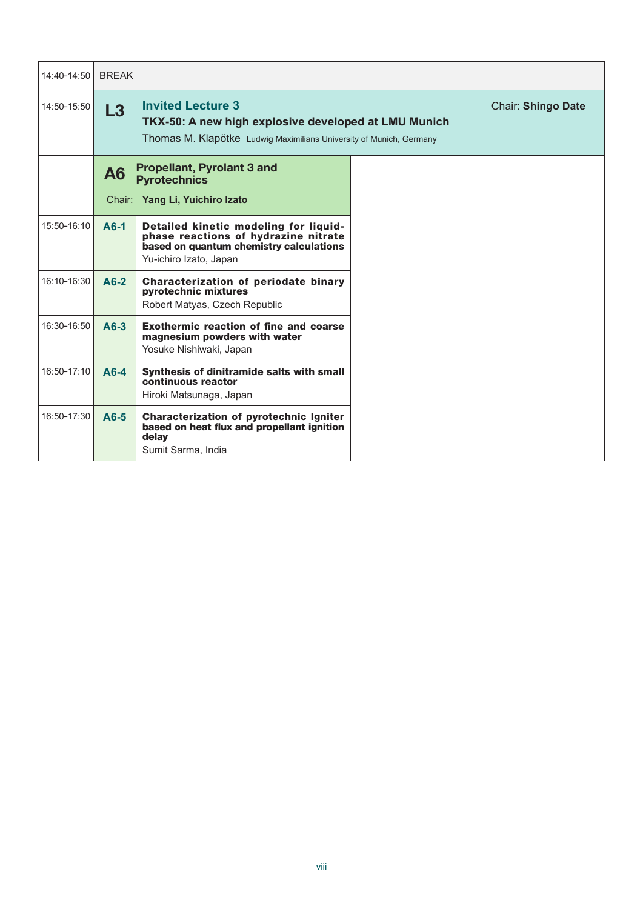| 14:40-14:50 | <b>BRFAK</b>   |                                                                                                                                                                                      |  |  |
|-------------|----------------|--------------------------------------------------------------------------------------------------------------------------------------------------------------------------------------|--|--|
| 14:50-15:50 | L3             | <b>Invited Lecture 3</b><br><b>Chair: Shingo Date</b><br>TKX-50: A new high explosive developed at LMU Munich<br>Thomas M. Klapötke Ludwig Maximilians University of Munich, Germany |  |  |
|             | A <sub>6</sub> | <b>Propellant, Pyrolant 3 and</b><br><b>Pyrotechnics</b>                                                                                                                             |  |  |
|             |                | Chair: Yang Li, Yuichiro Izato                                                                                                                                                       |  |  |
| 15:50-16:10 | $A6-1$         | Detailed kinetic modeling for liquid-<br>phase reactions of hydrazine nitrate<br>based on quantum chemistry calculations<br>Yu-ichiro Izato, Japan                                   |  |  |
| 16:10-16:30 | $A6-2$         | Characterization of periodate binary<br><b>pyrotechnic mixtures</b><br>Robert Matyas, Czech Republic                                                                                 |  |  |
| 16:30-16:50 | $A6-3$         | Exothermic reaction of fine and coarse<br>magnesium powders with water<br>Yosuke Nishiwaki, Japan                                                                                    |  |  |
| 16:50-17:10 | $A6-4$         | Synthesis of dinitramide salts with small<br>continuous reactor<br>Hiroki Matsunaga, Japan                                                                                           |  |  |
| 16:50-17:30 | $A6-5$         | Characterization of pyrotechnic Igniter<br>based on heat flux and propellant ignition<br>delay<br>Sumit Sarma, India                                                                 |  |  |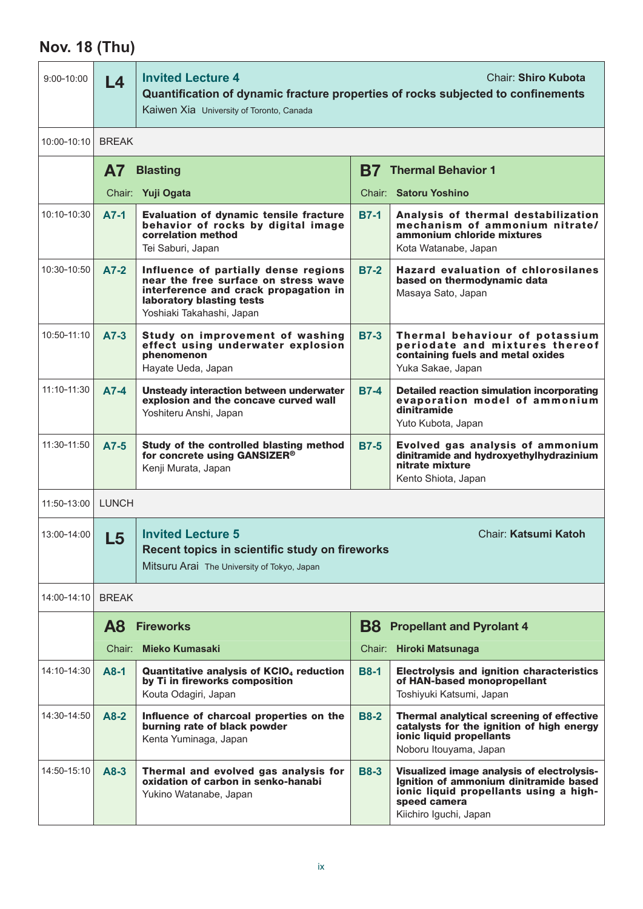## **Nov. 18 (Thu)**

| $9:00 - 10:00$  | <b>Invited Lecture 4</b><br><b>Chair: Shiro Kubota</b><br>L <sub>4</sub><br>Quantification of dynamic fracture properties of rocks subjected to confinements<br>Kaiwen Xia University of Toronto, Canada |                                                                                                                                                                                 |                                   |                                                                                                                                                                          |  |
|-----------------|----------------------------------------------------------------------------------------------------------------------------------------------------------------------------------------------------------|---------------------------------------------------------------------------------------------------------------------------------------------------------------------------------|-----------------------------------|--------------------------------------------------------------------------------------------------------------------------------------------------------------------------|--|
| 10:00-10:10     | <b>BREAK</b>                                                                                                                                                                                             |                                                                                                                                                                                 |                                   |                                                                                                                                                                          |  |
|                 | <b>A7</b><br><b>Blasting</b>                                                                                                                                                                             |                                                                                                                                                                                 | B7  <br><b>Thermal Behavior 1</b> |                                                                                                                                                                          |  |
|                 |                                                                                                                                                                                                          | Chair: Yuji Ogata                                                                                                                                                               |                                   | Chair: Satoru Yoshino                                                                                                                                                    |  |
| 10:10-10:30     | $A7-1$                                                                                                                                                                                                   | Evaluation of dynamic tensile fracture<br>behavior of rocks by digital image<br>correlation method<br>Tei Saburi, Japan                                                         | <b>B7-1</b>                       | Analysis of thermal destabilization<br>mechanism of ammonium nitrate/<br>ammonium chloride mixtures<br>Kota Watanabe, Japan                                              |  |
| 10:30-10:50     | $A7-2$                                                                                                                                                                                                   | Influence of partially dense regions<br>near the free surface on stress wave<br>interference and crack propagation in<br>laboratory blasting tests<br>Yoshiaki Takahashi, Japan | <b>B7-2</b>                       | <b>Hazard evaluation of chlorosilanes</b><br>based on thermodynamic data<br>Masaya Sato, Japan                                                                           |  |
| $10:50 - 11:10$ | $A7-3$                                                                                                                                                                                                   | Study on improvement of washing<br>effect using underwater explosion<br>phenomenon<br>Hayate Ueda, Japan                                                                        | <b>B7-3</b>                       | Thermal behaviour of potassium<br>periodate and mixtures thereof<br>containing fuels and metal oxides<br>Yuka Sakae, Japan                                               |  |
| 11:10-11:30     | $A7-4$                                                                                                                                                                                                   | Unsteady interaction between underwater<br>explosion and the concave curved wall<br>Yoshiteru Anshi, Japan                                                                      | <b>B7-4</b>                       | <b>Detailed reaction simulation incorporating</b><br>evaporation model of ammonium<br>dinitramide<br>Yuto Kubota, Japan                                                  |  |
| 11:30-11:50     | $A7-5$                                                                                                                                                                                                   | Study of the controlled blasting method<br>for concrete using GANSIZER®<br>Kenji Murata, Japan                                                                                  | <b>B7-5</b>                       | Evolved gas analysis of ammonium<br>dinitramide and hydroxyethylhydrazinium<br>nitrate mixture<br>Kento Shiota, Japan                                                    |  |
| 11:50-13:00     | <b>LUNCH</b>                                                                                                                                                                                             |                                                                                                                                                                                 |                                   |                                                                                                                                                                          |  |
| 13:00-14:00     | <b>Invited Lecture 5</b><br>Chair: Katsumi Katoh<br>L5<br>Recent topics in scientific study on fireworks<br>Mitsuru Arai The University of Tokyo, Japan                                                  |                                                                                                                                                                                 |                                   |                                                                                                                                                                          |  |
| 14:00-14:10     | <b>BREAK</b>                                                                                                                                                                                             |                                                                                                                                                                                 |                                   |                                                                                                                                                                          |  |
|                 | <b>A8</b><br><b>Fireworks</b>                                                                                                                                                                            |                                                                                                                                                                                 | B8                                | <b>Propellant and Pyrolant 4</b>                                                                                                                                         |  |
|                 |                                                                                                                                                                                                          | Chair: Mieko Kumasaki                                                                                                                                                           |                                   | Chair: Hiroki Matsunaga                                                                                                                                                  |  |
| 14:10-14:30     | $A8-1$                                                                                                                                                                                                   | Quantitative analysis of KCIO <sub>4</sub> reduction<br>by Ti in fireworks composition<br>Kouta Odagiri, Japan                                                                  | <b>B8-1</b>                       | <b>Electrolysis and ignition characteristics</b><br>of HAN-based monopropellant<br>Toshiyuki Katsumi, Japan                                                              |  |
| 14:30-14:50     | $A8-2$                                                                                                                                                                                                   | Influence of charcoal properties on the<br>burning rate of black powder<br>Kenta Yuminaga, Japan                                                                                | <b>B8-2</b>                       | <b>Thermal analytical screening of effective</b><br>catalysts for the ignition of high energy<br>ionic liquid propellants<br>Noboru Itouyama, Japan                      |  |
| 14:50-15:10     | $A8-3$                                                                                                                                                                                                   | Thermal and evolved gas analysis for<br>oxidation of carbon in senko-hanabi<br>Yukino Watanabe, Japan                                                                           | <b>B8-3</b>                       | Visualized image analysis of electrolysis-<br>Ignition of ammonium dinitramide based<br>ionic liquid propellants using a high-<br>speed camera<br>Kiichiro Iguchi, Japan |  |